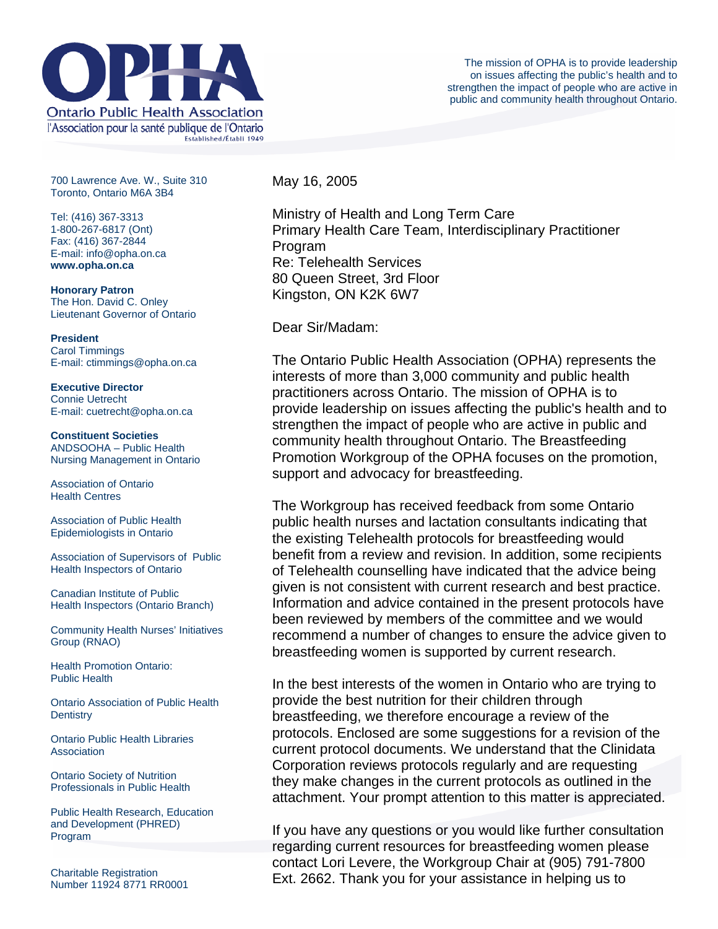

700 Lawrence Ave. W., Suite 310 Toronto, Ontario M6A 3B4

Tel: (416) 367-3313 1-800-267-6817 (Ont) Fax: (416) 367-2844 E-mail: info@opha.on.ca **www.opha.on.ca** 

**Honorary Patron**  The Hon. David C. Onley Lieutenant Governor of Ontario

**President**  Carol Timmings E-mail: ctimmings@opha.on.ca

**Executive Director**  Connie Uetrecht E-mail: cuetrecht@opha.on.ca

**Constituent Societies**  ANDSOOHA – Public Health Nursing Management in Ontario

Association of Ontario Health Centres

Association of Public Health Epidemiologists in Ontario

Association of Supervisors of Public Health Inspectors of Ontario

Canadian Institute of Public Health Inspectors (Ontario Branch)

Community Health Nurses' Initiatives Group (RNAO)

Health Promotion Ontario: Public Health

Ontario Association of Public Health **Dentistry** 

Ontario Public Health Libraries **Association** 

Ontario Society of Nutrition Professionals in Public Health

Public Health Research, Education and Development (PHRED) Program

Charitable Registration Number 11924 8771 RR0001 May 16, 2005

Ministry of Health and Long Term Care Primary Health Care Team, Interdisciplinary Practitioner Program Re: Telehealth Services 80 Queen Street, 3rd Floor Kingston, ON K2K 6W7

Dear Sir/Madam:

The Ontario Public Health Association (OPHA) represents the interests of more than 3,000 community and public health practitioners across Ontario. The mission of OPHA is to provide leadership on issues affecting the public's health and to strengthen the impact of people who are active in public and community health throughout Ontario. The Breastfeeding Promotion Workgroup of the OPHA focuses on the promotion, support and advocacy for breastfeeding.

The Workgroup has received feedback from some Ontario public health nurses and lactation consultants indicating that the existing Telehealth protocols for breastfeeding would benefit from a review and revision. In addition, some recipients of Telehealth counselling have indicated that the advice being given is not consistent with current research and best practice. Information and advice contained in the present protocols have been reviewed by members of the committee and we would recommend a number of changes to ensure the advice given to breastfeeding women is supported by current research.

In the best interests of the women in Ontario who are trying to provide the best nutrition for their children through breastfeeding, we therefore encourage a review of the protocols. Enclosed are some suggestions for a revision of the current protocol documents. We understand that the Clinidata Corporation reviews protocols regularly and are requesting they make changes in the current protocols as outlined in the attachment. Your prompt attention to this matter is appreciated.

If you have any questions or you would like further consultation regarding current resources for breastfeeding women please contact Lori Levere, the Workgroup Chair at (905) 791-7800 Ext. 2662. Thank you for your assistance in helping us to